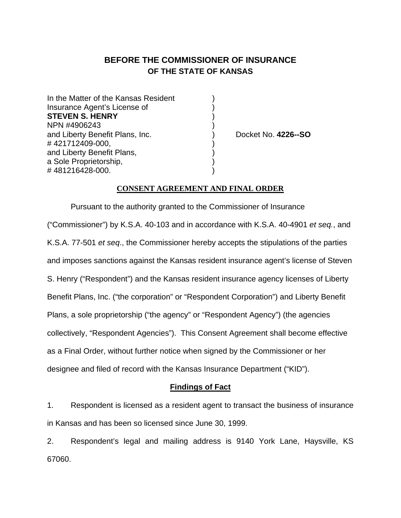# **BEFORE THE COMMISSIONER OF INSURANCE OF THE STATE OF KANSAS**

In the Matter of the Kansas Resident Insurance Agent's License of ) **STEVEN S. HENRY** ) NPN #4906243 ) and Liberty Benefit Plans, Inc. ) Docket No. **4226--SO** #421712409-000, and Liberty Benefit Plans, ) a Sole Proprietorship, #481216428-000.

## **CONSENT AGREEMENT AND FINAL ORDER**

Pursuant to the authority granted to the Commissioner of Insurance ("Commissioner") by K.S.A. 40-103 and in accordance with K.S.A. 40-4901 *et seq.*, and K.S.A. 77-501 *et seq*., the Commissioner hereby accepts the stipulations of the parties and imposes sanctions against the Kansas resident insurance agent's license of Steven S. Henry ("Respondent") and the Kansas resident insurance agency licenses of Liberty Benefit Plans, Inc. ("the corporation" or "Respondent Corporation") and Liberty Benefit Plans, a sole proprietorship ("the agency" or "Respondent Agency") (the agencies collectively, "Respondent Agencies"). This Consent Agreement shall become effective as a Final Order, without further notice when signed by the Commissioner or her designee and filed of record with the Kansas Insurance Department ("KID").

#### **Findings of Fact**

1. Respondent is licensed as a resident agent to transact the business of insurance in Kansas and has been so licensed since June 30, 1999.

2. Respondent's legal and mailing address is 9140 York Lane, Haysville, KS 67060.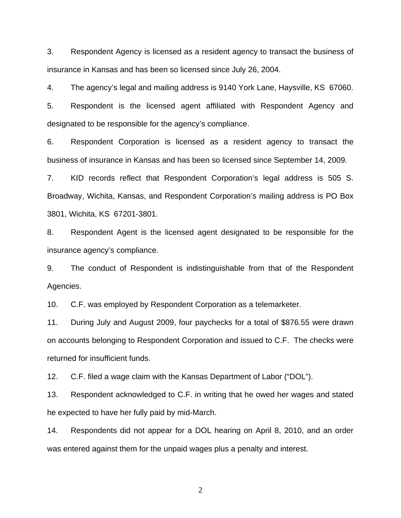3. Respondent Agency is licensed as a resident agency to transact the business of insurance in Kansas and has been so licensed since July 26, 2004.

4. The agency's legal and mailing address is 9140 York Lane, Haysville, KS 67060.

5. Respondent is the licensed agent affiliated with Respondent Agency and designated to be responsible for the agency's compliance.

6. Respondent Corporation is licensed as a resident agency to transact the business of insurance in Kansas and has been so licensed since September 14, 2009.

7. KID records reflect that Respondent Corporation's legal address is 505 S. Broadway, Wichita, Kansas, and Respondent Corporation's mailing address is PO Box 3801, Wichita, KS 67201-3801.

8. Respondent Agent is the licensed agent designated to be responsible for the insurance agency's compliance.

9. The conduct of Respondent is indistinguishable from that of the Respondent Agencies.

10. C.F. was employed by Respondent Corporation as a telemarketer.

11. During July and August 2009, four paychecks for a total of \$876.55 were drawn on accounts belonging to Respondent Corporation and issued to C.F. The checks were returned for insufficient funds.

12. C.F. filed a wage claim with the Kansas Department of Labor ("DOL").

13. Respondent acknowledged to C.F. in writing that he owed her wages and stated he expected to have her fully paid by mid-March.

14. Respondents did not appear for a DOL hearing on April 8, 2010, and an order was entered against them for the unpaid wages plus a penalty and interest.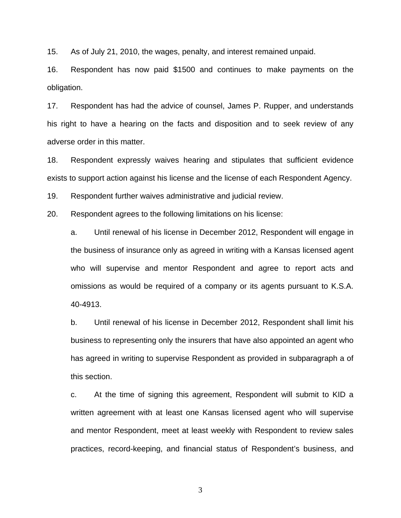15. As of July 21, 2010, the wages, penalty, and interest remained unpaid.

16. Respondent has now paid \$1500 and continues to make payments on the obligation.

17. Respondent has had the advice of counsel, James P. Rupper, and understands his right to have a hearing on the facts and disposition and to seek review of any adverse order in this matter.

18. Respondent expressly waives hearing and stipulates that sufficient evidence exists to support action against his license and the license of each Respondent Agency.

19. Respondent further waives administrative and judicial review.

20. Respondent agrees to the following limitations on his license:

a. Until renewal of his license in December 2012, Respondent will engage in the business of insurance only as agreed in writing with a Kansas licensed agent who will supervise and mentor Respondent and agree to report acts and omissions as would be required of a company or its agents pursuant to K.S.A. 40-4913.

b. Until renewal of his license in December 2012, Respondent shall limit his business to representing only the insurers that have also appointed an agent who has agreed in writing to supervise Respondent as provided in subparagraph a of this section.

c. At the time of signing this agreement, Respondent will submit to KID a written agreement with at least one Kansas licensed agent who will supervise and mentor Respondent, meet at least weekly with Respondent to review sales practices, record-keeping, and financial status of Respondent's business, and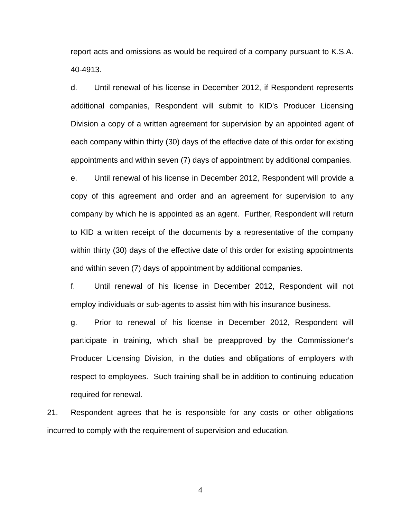report acts and omissions as would be required of a company pursuant to K.S.A. 40-4913.

d. Until renewal of his license in December 2012, if Respondent represents additional companies, Respondent will submit to KID's Producer Licensing Division a copy of a written agreement for supervision by an appointed agent of each company within thirty (30) days of the effective date of this order for existing appointments and within seven (7) days of appointment by additional companies. e. Until renewal of his license in December 2012, Respondent will provide a copy of this agreement and order and an agreement for supervision to any company by which he is appointed as an agent. Further, Respondent will return to KID a written receipt of the documents by a representative of the company within thirty (30) days of the effective date of this order for existing appointments

and within seven (7) days of appointment by additional companies.

f. Until renewal of his license in December 2012, Respondent will not employ individuals or sub-agents to assist him with his insurance business.

g. Prior to renewal of his license in December 2012, Respondent will participate in training, which shall be preapproved by the Commissioner's Producer Licensing Division, in the duties and obligations of employers with respect to employees. Such training shall be in addition to continuing education required for renewal.

21. Respondent agrees that he is responsible for any costs or other obligations incurred to comply with the requirement of supervision and education.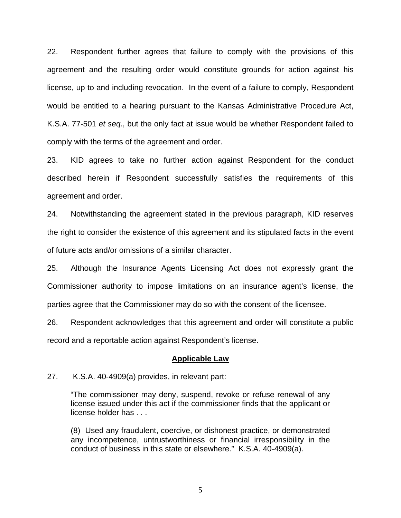22. Respondent further agrees that failure to comply with the provisions of this agreement and the resulting order would constitute grounds for action against his license, up to and including revocation. In the event of a failure to comply, Respondent would be entitled to a hearing pursuant to the Kansas Administrative Procedure Act, K.S.A. 77-501 *et seq*., but the only fact at issue would be whether Respondent failed to comply with the terms of the agreement and order.

23. KID agrees to take no further action against Respondent for the conduct described herein if Respondent successfully satisfies the requirements of this agreement and order.

24. Notwithstanding the agreement stated in the previous paragraph, KID reserves the right to consider the existence of this agreement and its stipulated facts in the event of future acts and/or omissions of a similar character.

25. Although the Insurance Agents Licensing Act does not expressly grant the Commissioner authority to impose limitations on an insurance agent's license, the parties agree that the Commissioner may do so with the consent of the licensee.

26. Respondent acknowledges that this agreement and order will constitute a public record and a reportable action against Respondent's license.

#### **Applicable Law**

27. K.S.A. 40-4909(a) provides, in relevant part:

"The commissioner may deny, suspend, revoke or refuse renewal of any license issued under this act if the commissioner finds that the applicant or license holder has . . .

(8) Used any fraudulent, coercive, or dishonest practice, or demonstrated any incompetence, untrustworthiness or financial irresponsibility in the conduct of business in this state or elsewhere." K.S.A. 40-4909(a).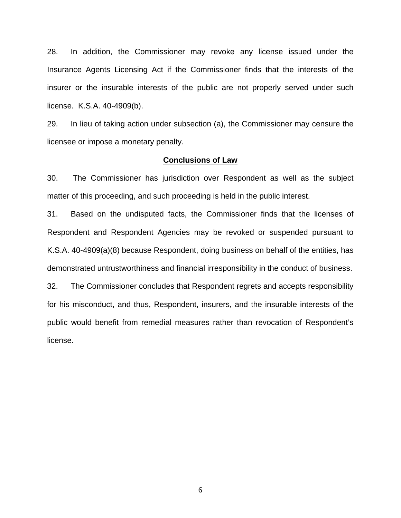28. In addition, the Commissioner may revoke any license issued under the Insurance Agents Licensing Act if the Commissioner finds that the interests of the insurer or the insurable interests of the public are not properly served under such license. K.S.A. 40-4909(b).

29. In lieu of taking action under subsection (a), the Commissioner may censure the licensee or impose a monetary penalty.

### **Conclusions of Law**

30. The Commissioner has jurisdiction over Respondent as well as the subject matter of this proceeding, and such proceeding is held in the public interest.

31. Based on the undisputed facts, the Commissioner finds that the licenses of Respondent and Respondent Agencies may be revoked or suspended pursuant to K.S.A. 40-4909(a)(8) because Respondent, doing business on behalf of the entities, has demonstrated untrustworthiness and financial irresponsibility in the conduct of business.

32. The Commissioner concludes that Respondent regrets and accepts responsibility for his misconduct, and thus, Respondent, insurers, and the insurable interests of the public would benefit from remedial measures rather than revocation of Respondent's license.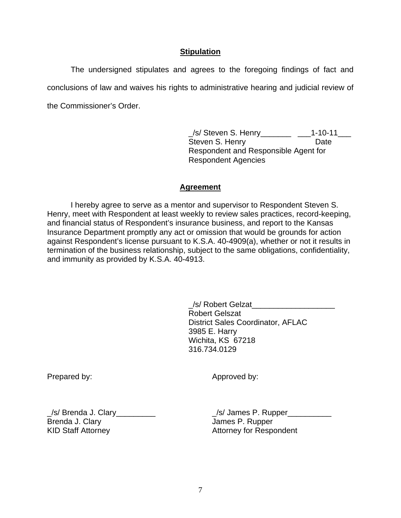# **Stipulation**

The undersigned stipulates and agrees to the foregoing findings of fact and conclusions of law and waives his rights to administrative hearing and judicial review of the Commissioner's Order.

> \_/s/ Steven S. Henry\_\_\_\_\_\_\_ \_\_\_1-10-11\_\_\_ Steven S. Henry **Date** Respondent and Responsible Agent for Respondent Agencies

## **Agreement**

 I hereby agree to serve as a mentor and supervisor to Respondent Steven S. Henry, meet with Respondent at least weekly to review sales practices, record-keeping, and financial status of Respondent's insurance business, and report to the Kansas Insurance Department promptly any act or omission that would be grounds for action against Respondent's license pursuant to K.S.A. 40-4909(a), whether or not it results in termination of the business relationship, subject to the same obligations, confidentiality, and immunity as provided by K.S.A. 40-4913.

> /s/ Robert Gelzat Robert Gelszat District Sales Coordinator, AFLAC 3985 E. Harry Wichita, KS 67218 316.734.0129

Prepared by:

Approved by:

\_/s/ Brenda J. Clary\_\_\_\_\_\_\_\_\_ Brenda J. Clary KID Staff Attorney

 $\angle$ s/ James P. Rupper $\angle$ James P. Rupper Attorney for Respondent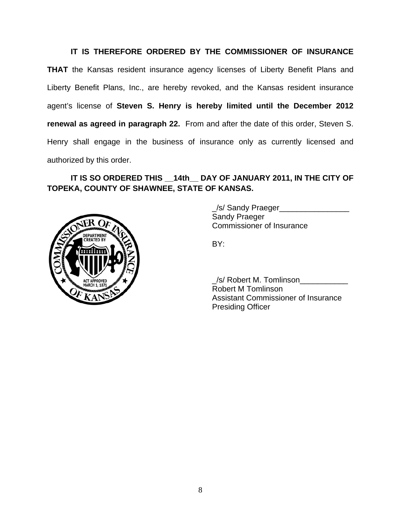# **IT IS THEREFORE ORDERED BY THE COMMISSIONER OF INSURANCE**

**THAT** the Kansas resident insurance agency licenses of Liberty Benefit Plans and Liberty Benefit Plans, Inc., are hereby revoked, and the Kansas resident insurance agent's license of **Steven S. Henry is hereby limited until the December 2012 renewal as agreed in paragraph 22.** From and after the date of this order, Steven S. Henry shall engage in the business of insurance only as currently licensed and authorized by this order.

# **IT IS SO ORDERED THIS \_\_14th\_\_ DAY OF JANUARY 2011, IN THE CITY OF TOPEKA, COUNTY OF SHAWNEE, STATE OF KANSAS.**



 \_/s/ Sandy Praeger\_\_\_\_\_\_\_\_\_\_\_\_\_\_\_\_ Sandy Praeger Commissioner of Insurance

 \_/s/ Robert M. Tomlinson\_\_\_\_\_\_\_\_\_\_\_ Robert M Tomlinson Assistant Commissioner of Insurance Presiding Officer